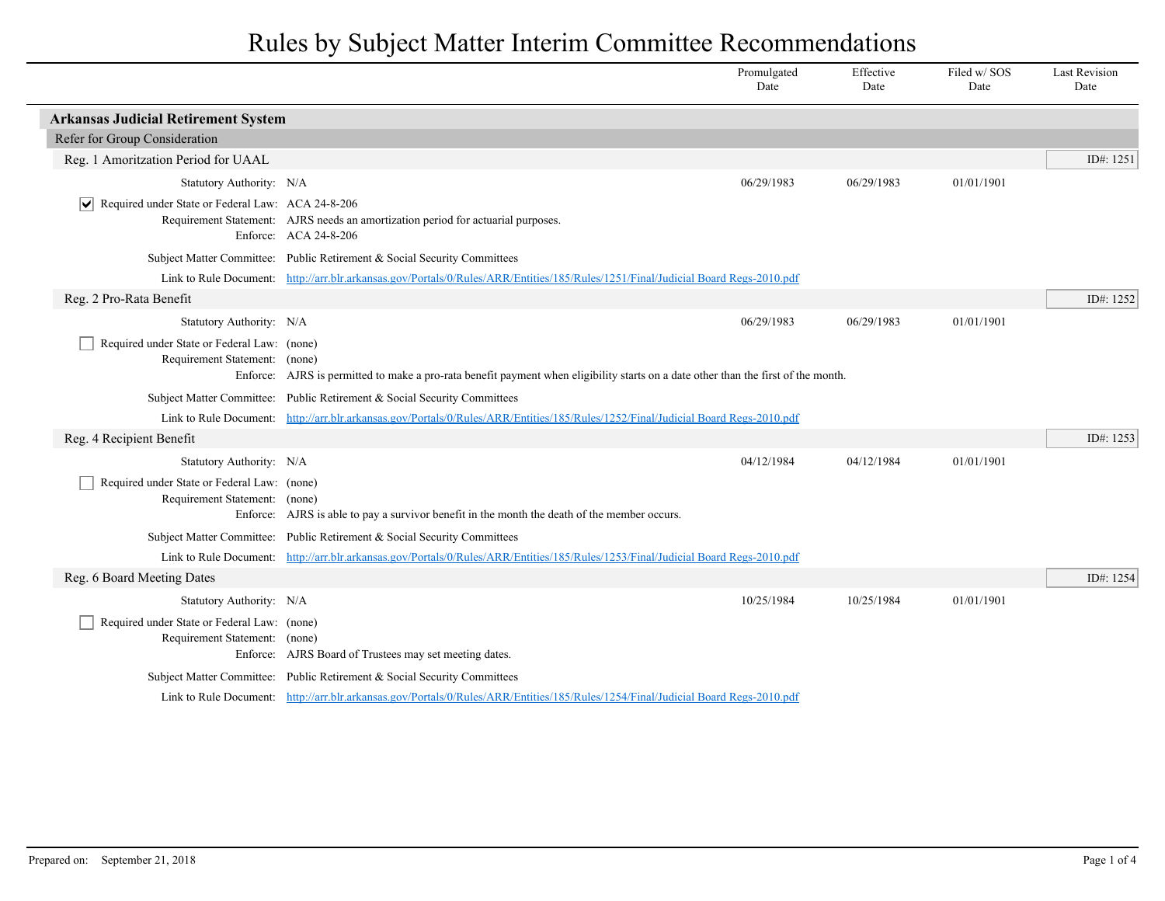|                                                                              |                                                                                                                                    | Promulgated<br>Date | Effective<br>Date | Filed w/ SOS<br>Date | <b>Last Revision</b><br>Date |
|------------------------------------------------------------------------------|------------------------------------------------------------------------------------------------------------------------------------|---------------------|-------------------|----------------------|------------------------------|
| <b>Arkansas Judicial Retirement System</b>                                   |                                                                                                                                    |                     |                   |                      |                              |
| Refer for Group Consideration                                                |                                                                                                                                    |                     |                   |                      |                              |
| Reg. 1 Amoritzation Period for UAAL                                          |                                                                                                                                    |                     |                   |                      | ID#: 1251                    |
| Statutory Authority: N/A                                                     |                                                                                                                                    | 06/29/1983          | 06/29/1983        | 01/01/1901           |                              |
| V Required under State or Federal Law: ACA 24-8-206                          | Requirement Statement: AJRS needs an amortization period for actuarial purposes.<br>Enforce: ACA 24-8-206                          |                     |                   |                      |                              |
|                                                                              | Subject Matter Committee: Public Retirement & Social Security Committees                                                           |                     |                   |                      |                              |
|                                                                              | Link to Rule Document: http://arr.blr.arkansas.gov/Portals/0/Rules/ARR/Entities/185/Rules/1251/Final/Judicial Board Regs-2010.pdf  |                     |                   |                      |                              |
| Reg. 2 Pro-Rata Benefit                                                      |                                                                                                                                    |                     |                   |                      | ID#: 1252                    |
| Statutory Authority: N/A                                                     |                                                                                                                                    | 06/29/1983          | 06/29/1983        | 01/01/1901           |                              |
| Required under State or Federal Law: (none)<br>Requirement Statement: (none) | Enforce: AJRS is permitted to make a pro-rata benefit payment when eligibility starts on a date other than the first of the month. |                     |                   |                      |                              |
|                                                                              | Subject Matter Committee: Public Retirement & Social Security Committees                                                           |                     |                   |                      |                              |
|                                                                              | Link to Rule Document: http://arr.blr.arkansas.gov/Portals/0/Rules/ARR/Entities/185/Rules/1252/Final/Judicial Board Regs-2010.pdf  |                     |                   |                      |                              |
| Reg. 4 Recipient Benefit                                                     |                                                                                                                                    |                     |                   |                      | ID#: 1253                    |
| Statutory Authority: N/A                                                     |                                                                                                                                    | 04/12/1984          | 04/12/1984        | 01/01/1901           |                              |
| Required under State or Federal Law: (none)<br>Requirement Statement: (none) | Enforce: AJRS is able to pay a survivor benefit in the month the death of the member occurs.                                       |                     |                   |                      |                              |
|                                                                              | Subject Matter Committee: Public Retirement & Social Security Committees                                                           |                     |                   |                      |                              |
|                                                                              | Link to Rule Document: http://arr.blr.arkansas.gov/Portals/0/Rules/ARR/Entities/185/Rules/1253/Final/Judicial Board Regs-2010.pdf  |                     |                   |                      |                              |
| Reg. 6 Board Meeting Dates                                                   |                                                                                                                                    |                     |                   |                      | ID#: 1254                    |
| Statutory Authority: N/A                                                     |                                                                                                                                    | 10/25/1984          | 10/25/1984        | 01/01/1901           |                              |
| Required under State or Federal Law: (none)<br>Requirement Statement: (none) | Enforce: AJRS Board of Trustees may set meeting dates.                                                                             |                     |                   |                      |                              |
|                                                                              | Subject Matter Committee: Public Retirement & Social Security Committees                                                           |                     |                   |                      |                              |
|                                                                              | Link to Rule Document: http://arr.blr.arkansas.gov/Portals/0/Rules/ARR/Entities/185/Rules/1254/Final/Judicial Board Regs-2010.pdf  |                     |                   |                      |                              |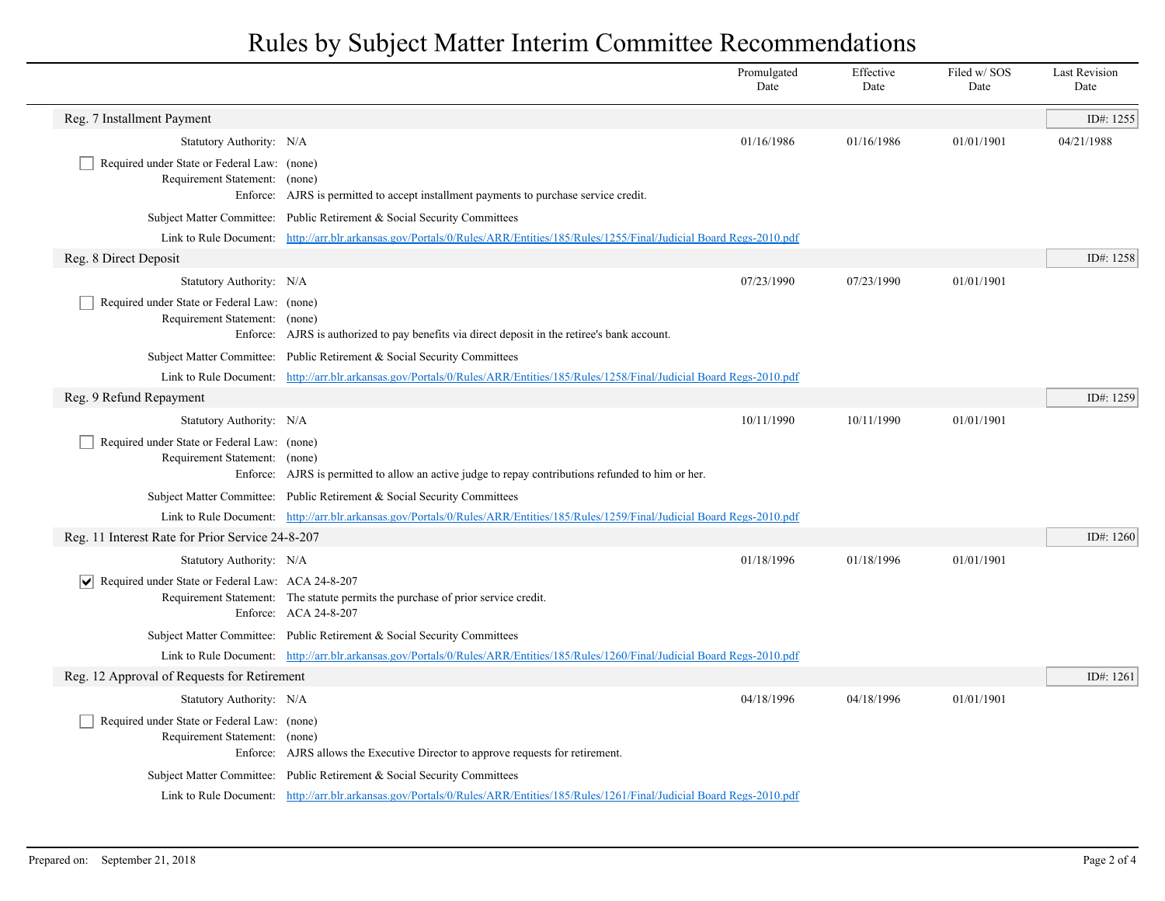|                                                                              |                                                                                                                                   | Promulgated<br>Date | Effective<br>Date | Filed w/SOS<br>Date | <b>Last Revision</b><br>Date |
|------------------------------------------------------------------------------|-----------------------------------------------------------------------------------------------------------------------------------|---------------------|-------------------|---------------------|------------------------------|
| Reg. 7 Installment Payment                                                   |                                                                                                                                   |                     |                   |                     | ID#: 1255                    |
| Statutory Authority: N/A                                                     |                                                                                                                                   | 01/16/1986          | 01/16/1986        | 01/01/1901          | 04/21/1988                   |
| Required under State or Federal Law: (none)<br>Requirement Statement: (none) | Enforce: AJRS is permitted to accept installment payments to purchase service credit.                                             |                     |                   |                     |                              |
|                                                                              | Subject Matter Committee: Public Retirement & Social Security Committees                                                          |                     |                   |                     |                              |
|                                                                              | Link to Rule Document: http://arr.blr.arkansas.gov/Portals/0/Rules/ARR/Entities/185/Rules/1255/Final/Judicial Board Regs-2010.pdf |                     |                   |                     |                              |
| Reg. 8 Direct Deposit                                                        |                                                                                                                                   |                     |                   |                     | ID#: 1258                    |
| Statutory Authority: N/A                                                     |                                                                                                                                   | 07/23/1990          | 07/23/1990        | 01/01/1901          |                              |
| Required under State or Federal Law: (none)<br>Requirement Statement: (none) | Enforce: AJRS is authorized to pay benefits via direct deposit in the retiree's bank account.                                     |                     |                   |                     |                              |
|                                                                              | Subject Matter Committee: Public Retirement & Social Security Committees                                                          |                     |                   |                     |                              |
|                                                                              | Link to Rule Document: http://arr.blr.arkansas.gov/Portals/0/Rules/ARR/Entities/185/Rules/1258/Final/Judicial Board Regs-2010.pdf |                     |                   |                     |                              |
| Reg. 9 Refund Repayment                                                      |                                                                                                                                   |                     |                   |                     | ID#: 1259                    |
| Statutory Authority: N/A                                                     |                                                                                                                                   | 10/11/1990          | 10/11/1990        | 01/01/1901          |                              |
| Required under State or Federal Law: (none)<br>Requirement Statement: (none) | Enforce: AJRS is permitted to allow an active judge to repay contributions refunded to him or her.                                |                     |                   |                     |                              |
|                                                                              | Subject Matter Committee: Public Retirement & Social Security Committees                                                          |                     |                   |                     |                              |
|                                                                              | Link to Rule Document: http://arr.blr.arkansas.gov/Portals/0/Rules/ARR/Entities/185/Rules/1259/Final/Judicial Board Regs-2010.pdf |                     |                   |                     |                              |
| Reg. 11 Interest Rate for Prior Service 24-8-207                             |                                                                                                                                   |                     |                   |                     | ID#: 1260                    |
| Statutory Authority: N/A                                                     |                                                                                                                                   | 01/18/1996          | 01/18/1996        | 01/01/1901          |                              |
| $\triangleright$ Required under State or Federal Law: ACA 24-8-207           | Requirement Statement: The statute permits the purchase of prior service credit.<br>Enforce: ACA 24-8-207                         |                     |                   |                     |                              |
|                                                                              | Subject Matter Committee: Public Retirement & Social Security Committees                                                          |                     |                   |                     |                              |
|                                                                              | Link to Rule Document: http://arr.blr.arkansas.gov/Portals/0/Rules/ARR/Entities/185/Rules/1260/Final/Judicial Board Regs-2010.pdf |                     |                   |                     |                              |
| Reg. 12 Approval of Requests for Retirement                                  |                                                                                                                                   |                     |                   |                     | ID#: 1261                    |
| Statutory Authority: N/A                                                     |                                                                                                                                   | 04/18/1996          | 04/18/1996        | 01/01/1901          |                              |
| Required under State or Federal Law: (none)<br>Requirement Statement: (none) | Enforce: AJRS allows the Executive Director to approve requests for retirement.                                                   |                     |                   |                     |                              |
|                                                                              | Subject Matter Committee: Public Retirement & Social Security Committees                                                          |                     |                   |                     |                              |
|                                                                              | Link to Rule Document: http://arr.blr.arkansas.gov/Portals/0/Rules/ARR/Entities/185/Rules/1261/Final/Judicial Board Regs-2010.pdf |                     |                   |                     |                              |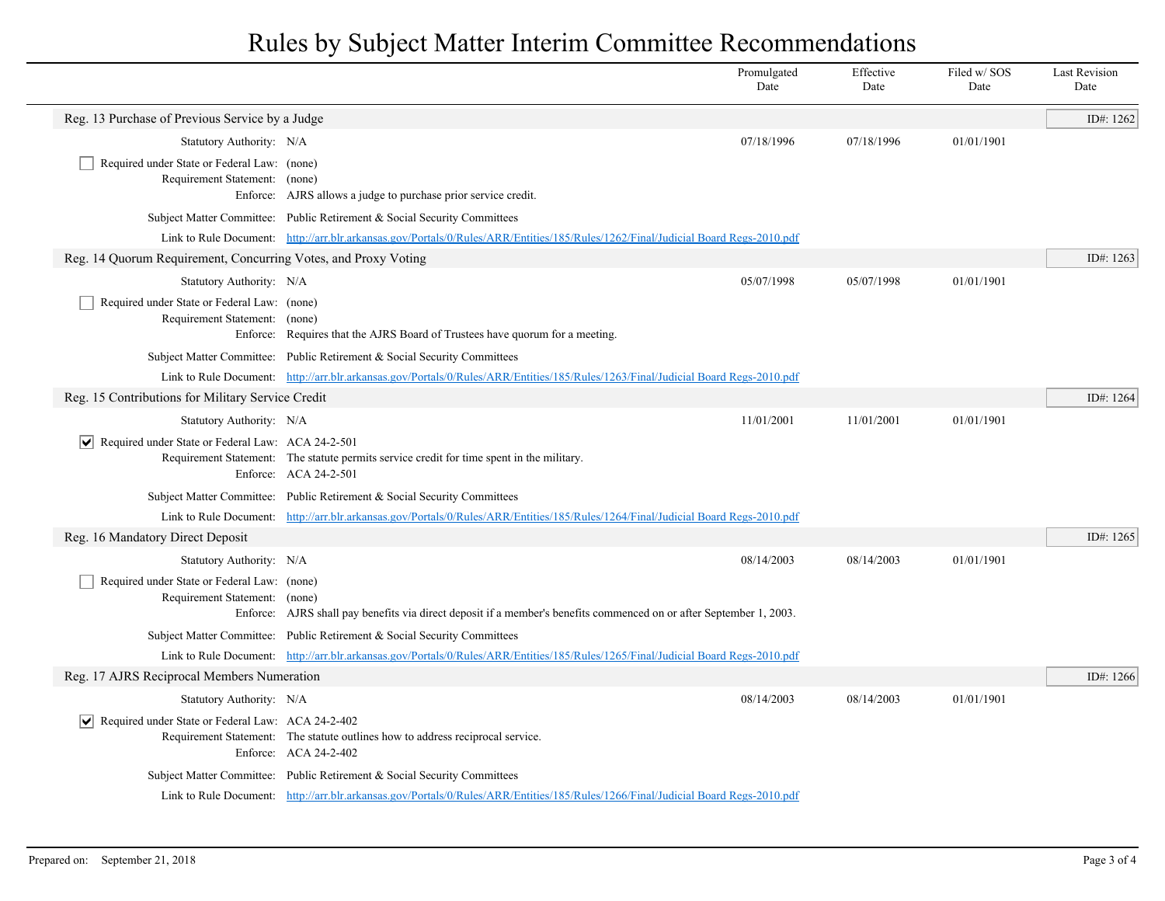|                                                                              |                                                                                                                                   | Promulgated<br>Date | Effective<br>Date | Filed w/SOS<br>Date | <b>Last Revision</b><br>Date |
|------------------------------------------------------------------------------|-----------------------------------------------------------------------------------------------------------------------------------|---------------------|-------------------|---------------------|------------------------------|
| Reg. 13 Purchase of Previous Service by a Judge                              |                                                                                                                                   |                     |                   |                     | ID#: 1262                    |
| Statutory Authority: N/A                                                     |                                                                                                                                   | 07/18/1996          | 07/18/1996        | 01/01/1901          |                              |
| Required under State or Federal Law: (none)<br>Requirement Statement: (none) | Enforce: AJRS allows a judge to purchase prior service credit.                                                                    |                     |                   |                     |                              |
|                                                                              | Subject Matter Committee: Public Retirement & Social Security Committees                                                          |                     |                   |                     |                              |
|                                                                              | Link to Rule Document: http://arr.blr.arkansas.gov/Portals/0/Rules/ARR/Entities/185/Rules/1262/Final/Judicial Board Regs-2010.pdf |                     |                   |                     |                              |
| Reg. 14 Quorum Requirement, Concurring Votes, and Proxy Voting               |                                                                                                                                   |                     |                   |                     | ID#: 1263                    |
| Statutory Authority: N/A                                                     |                                                                                                                                   | 05/07/1998          | 05/07/1998        | 01/01/1901          |                              |
| Required under State or Federal Law: (none)<br>Requirement Statement: (none) | Enforce: Requires that the AJRS Board of Trustees have quorum for a meeting.                                                      |                     |                   |                     |                              |
|                                                                              | Subject Matter Committee: Public Retirement & Social Security Committees                                                          |                     |                   |                     |                              |
|                                                                              | Link to Rule Document: http://arr.blr.arkansas.gov/Portals/0/Rules/ARR/Entities/185/Rules/1263/Final/Judicial Board Regs-2010.pdf |                     |                   |                     |                              |
| Reg. 15 Contributions for Military Service Credit                            |                                                                                                                                   |                     |                   |                     | ID#: 1264                    |
| Statutory Authority: N/A                                                     |                                                                                                                                   | 11/01/2001          | 11/01/2001        | 01/01/1901          |                              |
| $\triangledown$ Required under State or Federal Law: ACA 24-2-501            | Requirement Statement: The statute permits service credit for time spent in the military.<br>Enforce: ACA 24-2-501                |                     |                   |                     |                              |
|                                                                              | Subject Matter Committee: Public Retirement & Social Security Committees                                                          |                     |                   |                     |                              |
|                                                                              | Link to Rule Document: http://arr.blr.arkansas.gov/Portals/0/Rules/ARR/Entities/185/Rules/1264/Final/Judicial Board Regs-2010.pdf |                     |                   |                     |                              |
| Reg. 16 Mandatory Direct Deposit                                             |                                                                                                                                   |                     |                   |                     | ID#: 1265                    |
| Statutory Authority: N/A                                                     |                                                                                                                                   | 08/14/2003          | 08/14/2003        | 01/01/1901          |                              |
| Required under State or Federal Law: (none)<br>Requirement Statement: (none) | Enforce: AJRS shall pay benefits via direct deposit if a member's benefits commenced on or after September 1, 2003.               |                     |                   |                     |                              |
|                                                                              | Subject Matter Committee: Public Retirement & Social Security Committees                                                          |                     |                   |                     |                              |
|                                                                              | Link to Rule Document: http://arr.blr.arkansas.gov/Portals/0/Rules/ARR/Entities/185/Rules/1265/Final/Judicial Board Regs-2010.pdf |                     |                   |                     |                              |
| Reg. 17 AJRS Reciprocal Members Numeration                                   |                                                                                                                                   |                     |                   |                     | ID#: 1266                    |
| Statutory Authority: N/A                                                     |                                                                                                                                   | 08/14/2003          | 08/14/2003        | 01/01/1901          |                              |
| Required under State or Federal Law: ACA 24-2-402                            | Requirement Statement: The statute outlines how to address reciprocal service.<br>Enforce: ACA 24-2-402                           |                     |                   |                     |                              |
|                                                                              | Subject Matter Committee: Public Retirement & Social Security Committees                                                          |                     |                   |                     |                              |
|                                                                              | Link to Rule Document: http://arr.blr.arkansas.gov/Portals/0/Rules/ARR/Entities/185/Rules/1266/Final/Judicial Board Regs-2010.pdf |                     |                   |                     |                              |